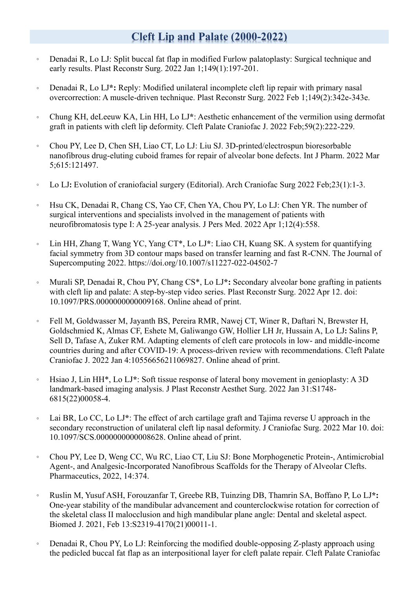## **Cleft Lip and Palate (2000-2022)**

- 。 Denadai R, Lo LJ: Split buccal fat flap in modified Furlow palatoplasty: Surgical technique and early results. Plast Reconstr Surg. 2022 Jan 1;149(1):197-201.
- 。 Denadai R, Lo LJ**\*:** Reply: Modified unilateral incomplete cleft lip repair with primary nasal overcorrection: A muscle-driven technique. Plast Reconstr Surg. 2022 Feb 1;149(2):342e-343e.
- 。 Chung KH, deLeeuw KA, Lin HH, Lo LJ**\***: Aesthetic enhancement of the vermilion using dermofat graft in patients with cleft lip deformity. Cleft Palate Craniofac J. 2022 Feb;59(2):222-229.
- 。 Chou PY, Lee D, Chen SH, Liao CT, Lo LJ: Liu SJ. 3D-printed/electrospun bioresorbable nanofibrous drug-eluting cuboid frames for repair of alveolar bone defects. Int J Pharm. 2022 Mar 5;615:121497.
- 。 Lo LJ**:** Evolution of craniofacial surgery (Editorial). Arch Craniofac Surg 2022 Feb;23(1):1-3.
- 。 Hsu CK, Denadai R, Chang CS, Yao CF, Chen YA, Chou PY, Lo LJ: Chen YR. The number of surgical interventions and specialists involved in the management of patients with neurofibromatosis type I: A 25-year analysis. J Pers Med. 2022 Apr 1;12(4):558.
- 。 Lin HH, Zhang T, Wang YC, Yang CT\*, Lo LJ**\***: Liao CH, Kuang SK. A system for quantifying facial symmetry from 3D contour maps based on transfer learning and fast R-CNN. The Journal of Supercomputing 2022. <https://doi.org/10.1007/s11227-022-04502-7>
- 。 Murali SP, Denadai R, Chou PY, Chang CS\*, Lo LJ**\*:** Secondary alveolar bone grafting in patients with cleft lip and palate: A step-by-step video series. Plast Reconstr Surg. 2022 Apr 12. doi: 10.1097/PRS.0000000000009168. Online ahead of print.
- 。 Fell M, Goldwasser M, Jayanth BS, Pereira RMR, Nawej CT, Winer R, Daftari N, Brewster H, Goldschmied K, Almas CF, Eshete M, Galiwango GW, Hollier LH Jr, Hussain A, Lo LJ**:** Salins P, Sell D, Tafase A, Zuker RM. Adapting elements of cleft care protocols in low- and middle-income countries during and after COVID-19: A process-driven review with recommendations. Cleft Palate Craniofac J. 2022 Jan 4:10556656211069827. Online ahead of print.
- 。 Hsiao J, Lin HH\*, Lo LJ**\***: Soft tissue response of lateral bony movement in genioplasty: A 3D landmark-based imaging analysis. J Plast Reconstr Aesthet Surg. 2022 Jan 31:S1748- 6815(22)00058-4.
- 。 Lai BR, Lo CC, Lo LJ**\***: The effect of arch cartilage graft and Tajima reverse U approach in the secondary reconstruction of unilateral cleft lip nasal deformity. J Craniofac Surg. 2022 Mar 10. doi: 10.1097/SCS.0000000000008628. Online ahead of print.
- 。 Chou PY, Lee D, Weng CC, Wu RC, Liao CT, Liu SJ: Bone Morphogenetic Protein-, Antimicrobial Agent-, and Analgesic-Incorporated Nanofibrous Scaffolds for the Therapy of Alveolar Clefts. Pharmaceutics, 2022, 14:374.
- 。 Ruslin M, Yusuf ASH, Forouzanfar T, Greebe RB, Tuinzing DB, Thamrin SA, Boffano P, Lo LJ**\*:** One-year stability of the mandibular advancement and counterclockwise rotation for correction of the skeletal class II malocclusion and high mandibular plane angle: Dental and skeletal aspect. Biomed J. 2021, Feb 13:S2319-4170(21)00011-1.
- 。 Denadai R, Chou PY, Lo LJ: Reinforcing the modified double-opposing Z-plasty approach using the pedicled buccal fat flap as an interpositional layer for cleft palate repair. Cleft Palate Craniofac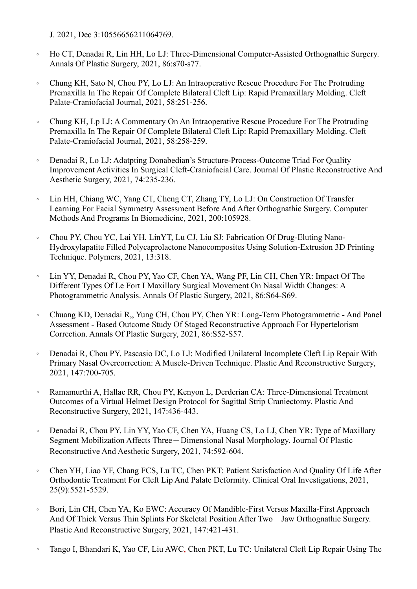J. 2021, Dec 3:10556656211064769.

- 。 Ho CT, Denadai R, Lin HH, Lo LJ: Three-Dimensional Computer-Assisted Orthognathic Surgery. Annals Of Plastic Surgery, 2021, 86:s70-s77.
- 。 Chung KH, Sato N, Chou PY, Lo LJ: An Intraoperative Rescue Procedure For The Protruding Premaxilla In The Repair Of Complete Bilateral Cleft Lip: Rapid Premaxillary Molding. Cleft Palate-Craniofacial Journal, 2021, 58:251-256.
- 。 Chung KH, Lp LJ: A Commentary On An Intraoperative Rescue Procedure For The Protruding Premaxilla In The Repair Of Complete Bilateral Cleft Lip: Rapid Premaxillary Molding. Cleft Palate-Craniofacial Journal, 2021, 58:258-259.
- 。 Denadai R, Lo LJ: Adatpting Donabedian's Structure-Process-Outcome Triad For Quality Improvement Activities In Surgical Cleft-Craniofacial Care. Journal Of Plastic Reconstructive And Aesthetic Surgery, 2021, 74:235-236.
- 。 Lin HH, Chiang WC, Yang CT, Cheng CT, Zhang TY, Lo LJ: On Construction Of Transfer Learning For Facial Symmetry Assessment Before And After Orthognathic Surgery. Computer Methods And Programs In Biomedicine, 2021, 200:105928.
- 。 Chou PY, Chou YC, Lai YH, LinYT, Lu CJ, Liu SJ: Fabrication Of Drug-Eluting Nano-Hydroxylapatite Filled Polycaprolactone Nanocomposites Using Solution-Extrusion 3D Printing Technique. Polymers, 2021, 13:318.
- 。 Lin YY, Denadai R, Chou PY, Yao CF, Chen YA, Wang PF, Lin CH, Chen YR: Impact Of The Different Types Of Le Fort I Maxillary Surgical Movement On Nasal Width Changes: A Photogrammetric Analysis. Annals Of Plastic Surgery, 2021, 86:S64-S69.
- 。 Chuang KD, Denadai R,, Yung CH, Chou PY, Chen YR: Long-Term Photogrammetric And Panel Assessment - Based Outcome Study Of Staged Reconstructive Approach For Hypertelorism Correction. Annals Of Plastic Surgery, 2021, 86:S52-S57.
- Denadai R, Chou PY, Pascasio DC, Lo LJ: Modified Unilateral Incomplete Cleft Lip Repair With Primary Nasal Overcorrection: A Muscle-Driven Technique. Plastic And Reconstructive Surgery, 2021, 147:700-705.
- 。 Ramamurthi A, Hallac RR, Chou PY, Kenyon L, Derderian CA: Three-Dimensional Treatment Outcomes of a Virtual Helmet Design Protocol for Sagittal Strip Craniectomy. Plastic And Reconstructive Surgery, 2021, 147:436-443.
- 。 Denadai R, Chou PY, Lin YY, Yao CF, Chen YA, Huang CS, Lo LJ, Chen YR: Type of Maxillary Segment Mobilization Affects Three-Dimensional Nasal Morphology. Journal Of Plastic Reconstructive And Aesthetic Surgery, 2021, 74:592-604.
- 。 Chen YH, Liao YF, Chang FCS, Lu TC, Chen PKT: Patient Satisfaction And Quality Of Life After Orthodontic Treatment For Cleft Lip And Palate Deformity. Clinical Oral Investigations, 2021, 25(9):5521-5529.
- 。 Bori, Lin CH, Chen YA, Ko EWC: Accuracy Of Mandible-First Versus Maxilla-First Approach And Of Thick Versus Thin Splints For Skeletal Position After Two-Jaw Orthognathic Surgery. Plastic And Reconstructive Surgery, 2021, 147:421-431.
- 。 Tango I, Bhandari K, Yao CF, Liu AWC, Chen PKT, Lu TC: Unilateral Cleft Lip Repair Using The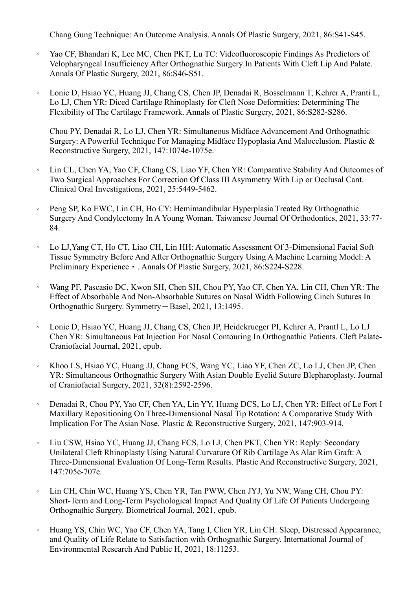Chang Gung Technique: An Outcome Analysis. Annals Of Plastic Surgery, 2021, 86:S41-S45.

- 。 Yao CF, Bhandari K, Lee MC, Chen PKT, Lu TC: Videofluoroscopic Findings As Predictors of Velopharyngeal Insufficiency After Orthognathic Surgery In Patients With Cleft Lip And Palate. Annals Of Plastic Surgery, 2021, 86:S46-S51.
- 。 Lonic D, Hsiao YC, Huang JJ, Chang CS, Chen JP, Denadai R, Bosselmann T, Kehrer A, Pranti L, Lo LJ, Chen YR: Diced Cartilage Rhinoplasty for Cleft Nose Deformities: Determining The Flexibility of The Cartilage Framework. Annals of Plastic Surgery, 2021, 86:S282-S286.

Chou PY, Denadai R, Lo LJ, Chen YR: Simultaneous Midface Advancement And Orthognathic Surgery: A Powerful Technique For Managing Midface Hypoplasia And Malocclusion. Plastic & Reconstructive Surgery, 2021, 147:1074e-1075e.

- 。 Lin CL, Chen YA, Yao CF, Chang CS, Liao YF, Chen YR: Comparative Stability And Outcomes of Two Surgical Approaches For Correction Of Class III Asymmetry With Lip or Occlusal Cant. Clinical Oral Investigations, 2021, 25:5449-5462.
- 。 Peng SP, Ko EWC, Lin CH, Ho CY: Hemimandibular Hyperplasia Treated By Orthognathic Surgery And Condylectomy In A Young Woman. Taiwanese Journal Of Orthodontics, 2021, 33:77- 84.
- 。 Lo LJ,Yang CT, Ho CT, Liao CH, Lin HH: Automatic Assessment Of 3-Dimensional Facial Soft Tissue Symmetry Before And After Orthognathic Surgery Using A Machine Learning Model: A Preliminary Experience • . Annals Of Plastic Surgery, 2021, 86:S224-S228.
- 。 Wang PF, Pascasio DC, Kwon SH, Chen SH, Chou PY, Yao CF, Chen YA, Lin CH, Chen YR: The Effect of Absorbable And Non-Absorbable Sutures on Nasal Width Following Cinch Sutures In Orthognathic Surgery. Symmetry-Basel, 2021, 13:1495.
- 。 Lonic D, Hsiao YC, Huang JJ, Chang CS, Chen JP, Heidekrueger PI, Kehrer A, Prantl L, Lo LJ Chen YR: Simultaneous Fat Injection For Nasal Contouring In Orthognathic Patients. Cleft Palate-Craniofacial Journal, 2021, epub.
- 。 Khoo LS, Hsiao YC, Huang JJ, Chang FCS, Wang YC, Liao YF, Chen ZC, Lo LJ, Chen JP, Chen YR: Simultaneous Orthognathic Surgery With Asian Double Eyelid Suture Blepharoplasty. Journal of Craniofacial Surgery, 2021, 32(8):2592-2596.
- 。 Denadai R, Chou PY, Yao CF, Chen YA, Lin YY, Huang DCS, Lo LJ, Chen YR: Effect of Le Fort I Maxillary Repositioning On Three-Dimensional Nasal Tip Rotation: A Comparative Study With Implication For The Asian Nose. Plastic & Reconstructive Surgery, 2021, 147:903-914.
- 。 Liu CSW, Hsiao YC, Huang JJ, Chang FCS, Lo LJ, Chen PKT, Chen YR: Reply: Secondary Unilateral Cleft Rhinoplasty Using Natural Curvature Of Rib Cartilage As Alar Rim Graft: A Three-Dimensional Evaluation Of Long-Term Results. Plastic And Reconstructive Surgery, 2021, 147:705e-707e.
- 。 Lin CH, Chin WC, Huang YS, Chen YR, Tan PWW, Chen JYJ, Yu NW, Wang CH, Chou PY: Short-Term and Long-Term Psychological Impact And Quality Of Life Of Patients Undergoing Orthognathic Surgery. Biometrical Journal, 2021, epub.
- 。 Huang YS, Chin WC, Yao CF, Chen YA, Tang I, Chen YR, Lin CH: Sleep, Distressed Appearance, and Quality of Life Relate to Satisfaction with Orthognathic Surgery. International Journal of Environmental Research And Public H, 2021, 18:11253.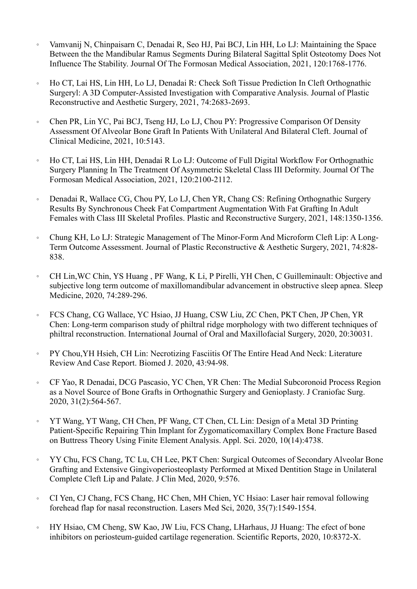- 。 Vamvanij N, Chinpaisarn C, Denadai R, Seo HJ, Pai BCJ, Lin HH, Lo LJ: Maintaining the Space Between the the Mandibular Ramus Segments During Bilateral Sagittal Split Osteotomy Does Not Influence The Stability. Journal Of The Formosan Medical Association, 2021, 120:1768-1776.
- 。 Ho CT, Lai HS, Lin HH, Lo LJ, Denadai R: Check Soft Tissue Prediction In Cleft Orthognathic Surgeryl: A 3D Computer-Assisted Investigation with Comparative Analysis. Journal of Plastic Reconstructive and Aesthetic Surgery, 2021, 74:2683-2693.
- 。 Chen PR, Lin YC, Pai BCJ, Tseng HJ, Lo LJ, Chou PY: Progressive Comparison Of Density Assessment Of Alveolar Bone Graft In Patients With Unilateral And Bilateral Cleft. Journal of Clinical Medicine, 2021, 10:5143.
- 。 Ho CT, Lai HS, Lin HH, Denadai R Lo LJ: Outcome of Full Digital Workflow For Orthognathic Surgery Planning In The Treatment Of Asymmetric Skeletal Class III Deformity. Journal Of The Formosan Medical Association, 2021, 120:2100-2112.
- 。 Denadai R, Wallace CG, Chou PY, Lo LJ, Chen YR, Chang CS: Refining Orthognathic Surgery Results By Synchronous Cheek Fat Compartment Augmentation With Fat Grafting In Adult Females with Class III Skeletal Profiles. Plastic and Reconstructive Surgery, 2021, 148:1350-1356.
- 。 Chung KH, Lo LJ: Strategic Management of The Minor-Form And Microform Cleft Lip: A Long-Term Outcome Assessment. Journal of Plastic Reconstructive & Aesthetic Surgery, 2021, 74:828- 838.
- 。 CH Lin,WC Chin, YS Huang , PF Wang, K Li, P Pirelli, YH Chen, C Guilleminault: Objective and subjective long term outcome of maxillomandibular advancement in obstructive sleep apnea. Sleep Medicine, 2020, 74:289-296.
- 。 FCS Chang, CG Wallace, YC Hsiao, JJ Huang, CSW Liu, ZC Chen, PKT Chen, JP Chen, YR Chen: Long-term comparison study of philtral ridge morphology with two different techniques of philtral reconstruction. International Journal of Oral and Maxillofacial Surgery, 2020, 20:30031.
- 。 PY Chou,YH Hsieh, CH Lin: Necrotizing Fasciitis Of The Entire Head And Neck: Literature Review And Case Report. Biomed J. 2020, 43:94-98.
- 。 CF Yao, R Denadai, DCG Pascasio, YC Chen, YR Chen: The Medial Subcoronoid Process Region as a Novel Source of Bone Grafts in Orthognathic Surgery and Genioplasty. J Craniofac Surg. 2020, 31(2):564-567.
- 。 YT Wang, YT Wang, CH Chen, PF Wang, CT Chen, CL Lin: Design of a Metal 3D Printing Patient-Specific Repairing Thin Implant for Zygomaticomaxillary Complex Bone Fracture Based on Buttress Theory Using Finite Element Analysis. Appl. Sci. 2020, 10(14):4738.
- 。 YY Chu, FCS Chang, TC Lu, CH Lee, PKT Chen: Surgical Outcomes of Secondary Alveolar Bone Grafting and Extensive Gingivoperiosteoplasty Performed at Mixed Dentition Stage in Unilateral Complete Cleft Lip and Palate. J Clin Med, 2020, 9:576.
- 。 CI Yen, CJ Chang, FCS Chang, HC Chen, MH Chien, YC Hsiao: Laser hair removal following forehead flap for nasal reconstruction. Lasers Med Sci, 2020, 35(7):1549-1554.
- 。 HY Hsiao, CM Cheng, SW Kao, JW Liu, FCS Chang, LHarhaus, JJ Huang: The efect of bone inhibitors on periosteum-guided cartilage regeneration. Scientific Reports, 2020, 10:8372-X.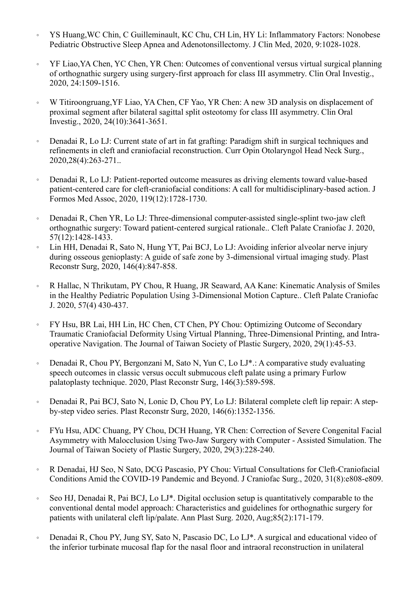- 。 YS Huang,WC Chin, C Guilleminault, KC Chu, CH Lin, HY Li: Inflammatory Factors: Nonobese Pediatric Obstructive Sleep Apnea and Adenotonsillectomy. J Clin Med, 2020, 9:1028-1028.
- 。 YF Liao,YA Chen, YC Chen, YR Chen: Outcomes of conventional versus virtual surgical planning of orthognathic surgery using surgery-first approach for class III asymmetry. Clin Oral Investig., 2020, 24:1509-1516.
- 。 W Titiroongruang,YF Liao, YA Chen, CF Yao, YR Chen: A new 3D analysis on displacement of proximal segment after bilateral sagittal split osteotomy for class III asymmetry. Clin Oral Investig., 2020, 24(10):3641-3651.
- 。 Denadai R, Lo LJ: Current state of art in fat grafting: Paradigm shift in surgical techniques and refinements in cleft and craniofacial reconstruction. Curr Opin Otolaryngol Head Neck Surg., 2020,28(4):263-271..
- 。 Denadai R, Lo LJ: Patient-reported outcome measures as driving elements toward value-based patient-centered care for cleft-craniofacial conditions: A call for multidisciplinary-based action. J Formos Med Assoc, 2020, 119(12):1728-1730.
- 。 Denadai R, Chen YR, Lo LJ: Three-dimensional computer-assisted single-splint two-jaw cleft orthognathic surgery: Toward patient-centered surgical rationale.. Cleft Palate Craniofac J. 2020, 57(12):1428-1433.
- Lin HH, Denadai R, Sato N, Hung YT, Pai BCJ, Lo LJ: Avoiding inferior alveolar nerve injury during osseous genioplasty: A guide of safe zone by 3-dimensional virtual imaging study. Plast Reconstr Surg, 2020, 146(4):847-858.
- 。 R Hallac, N Thrikutam, PY Chou, R Huang, JR Seaward, AA Kane: Kinematic Analysis of Smiles in the Healthy Pediatric Population Using 3-Dimensional Motion Capture.. Cleft Palate Craniofac J. 2020, 57(4) 430-437.
- 。 FY Hsu, BR Lai, HH Lin, HC Chen, CT Chen, PY Chou: Optimizing Outcome of Secondary Traumatic Craniofacial Deformity Using Virtual Planning, Three-Dimensional Printing, and Intraoperative Navigation. The Journal of Taiwan Society of Plastic Surgery, 2020, 29(1):45-53.
- 。 Denadai R, Chou PY, Bergonzani M, Sato N, Yun C, Lo LJ\*.: A comparative study evaluating speech outcomes in classic versus occult submucous cleft palate using a primary Furlow palatoplasty technique. 2020, Plast Reconstr Surg, 146(3):589-598.
- 。 Denadai R, Pai BCJ, Sato N, Lonic D, Chou PY, Lo LJ: Bilateral complete cleft lip repair: A stepby-step video series. Plast Reconstr Surg, 2020, 146(6):1352-1356.
- 。 FYu Hsu, ADC Chuang, PY Chou, DCH Huang, YR Chen: Correction of Severe Congenital Facial Asymmetry with Malocclusion Using Two-Jaw Surgery with Computer - Assisted Simulation. The Journal of Taiwan Society of Plastic Surgery, 2020, 29(3):228-240.
- 。 R Denadai, HJ Seo, N Sato, DCG Pascasio, PY Chou: Virtual Consultations for Cleft-Craniofacial Conditions Amid the COVID-19 Pandemic and Beyond. J Craniofac Surg., 2020, 31(8):e808-e809.
- 。 Seo HJ, Denadai R, Pai BCJ, Lo LJ\*. Digital occlusion setup is quantitatively comparable to the conventional dental model approach: Characteristics and guidelines for orthognathic surgery for patients with unilateral cleft lip/palate. Ann Plast Surg. 2020, Aug;85(2):171-179.
- 。 Denadai R, Chou PY, Jung SY, Sato N, Pascasio DC, Lo LJ\*. A surgical and educational video of the inferior turbinate mucosal flap for the nasal floor and intraoral reconstruction in unilateral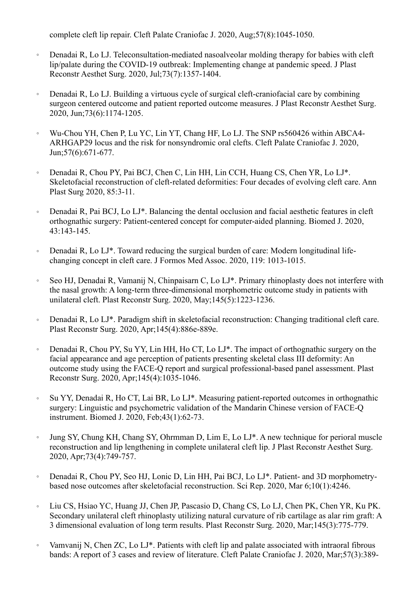complete cleft lip repair. Cleft Palate Craniofac J. 2020, Aug;57(8):1045-1050.

- Denadai R, Lo LJ. Teleconsultation-mediated nasoalveolar molding therapy for babies with cleft lip/palate during the COVID-19 outbreak: Implementing change at pandemic speed. J Plast Reconstr Aesthet Surg. 2020, Jul;73(7):1357-1404.
- 。 Denadai R, Lo LJ. Building a virtuous cycle of surgical cleft-craniofacial care by combining surgeon centered outcome and patient reported outcome measures. J Plast Reconstr Aesthet Surg. 2020, Jun;73(6):1174-1205.
- 。 Wu-Chou YH, Chen P, Lu YC, Lin YT, Chang HF, Lo LJ. The SNP rs560426 within ABCA4- ARHGAP29 locus and the risk for nonsyndromic oral clefts. Cleft Palate Craniofac J. 2020, Jun;57(6):671-677.
- 。 Denadai R, Chou PY, Pai BCJ, Chen C, Lin HH, Lin CCH, Huang CS, Chen YR, Lo LJ\*. Skeletofacial reconstruction of cleft-related deformities: Four decades of evolving cleft care. Ann Plast Surg 2020, 85:3-11.
- 。 Denadai R, Pai BCJ, Lo LJ\*. Balancing the dental occlusion and facial aesthetic features in cleft orthognathic surgery: Patient-centered concept for computer-aided planning. Biomed J. 2020, 43:143-145.
- 。 Denadai R, Lo LJ\*. Toward reducing the surgical burden of care: Modern longitudinal lifechanging concept in cleft care. J Formos Med Assoc. 2020, 119: 1013-1015.
- 。 Seo HJ, Denadai R, Vamanij N, Chinpaisarn C, Lo LJ\*. Primary rhinoplasty does not interfere with the nasal growth: A long-term three-dimensional morphometric outcome study in patients with unilateral cleft. Plast Reconstr Surg. 2020, May;145(5):1223-1236.
- 。 Denadai R, Lo LJ\*. Paradigm shift in skeletofacial reconstruction: Changing traditional cleft care. Plast Reconstr Surg. 2020, Apr;145(4):886e-889e.
- 。 Denadai R, Chou PY, Su YY, Lin HH, Ho CT, Lo LJ\*. The impact of orthognathic surgery on the facial appearance and age perception of patients presenting skeletal class III deformity: An outcome study using the FACE-Q report and surgical professional-based panel assessment. Plast Reconstr Surg. 2020, Apr;145(4):1035-1046.
- 。 Su YY, Denadai R, Ho CT, Lai BR, Lo LJ\*. Measuring patient-reported outcomes in orthognathic surgery: Linguistic and psychometric validation of the Mandarin Chinese version of FACE-Q instrument. Biomed J. 2020, Feb;43(1):62-73.
- 。 Jung SY, Chung KH, Chang SY, Ohrmman D, Lim E, Lo LJ\*. A new technique for perioral muscle reconstruction and lip lengthening in complete unilateral cleft lip. J Plast Reconstr Aesthet Surg. 2020, Apr;73(4):749-757.
- 。 Denadai R, Chou PY, Seo HJ, Lonic D, Lin HH, Pai BCJ, Lo LJ\*. Patient- and 3D morphometrybased nose outcomes after skeletofacial reconstruction. Sci Rep. 2020, Mar 6;10(1):4246.
- 。 Liu CS, Hsiao YC, Huang JJ, Chen JP, Pascasio D, Chang CS, Lo LJ, Chen PK, Chen YR, Ku PK. Secondary unilateral cleft rhinoplasty utilizing natural curvature of rib cartilage as alar rim graft: A 3 dimensional evaluation of long term results. Plast Reconstr Surg. 2020, Mar;145(3):775-779.
- 。 Vamvanij N, Chen ZC, Lo LJ\*. Patients with cleft lip and palate associated with intraoral fibrous bands: A report of 3 cases and review of literature. Cleft Palate Craniofac J. 2020, Mar;57(3):389-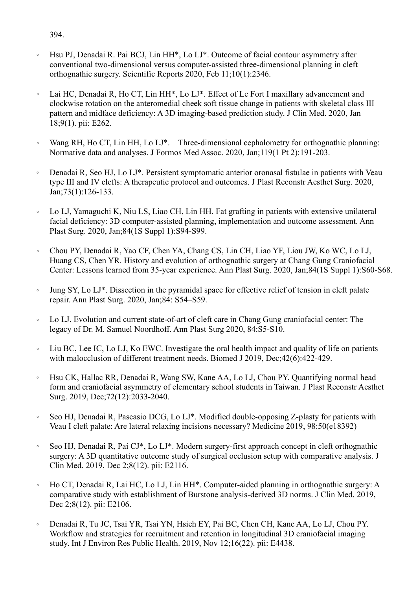## 394.

- Hsu PJ, Denadai R. Pai BCJ, Lin HH\*, Lo LJ\*. Outcome of facial contour asymmetry after conventional two-dimensional versus computer-assisted three-dimensional planning in cleft orthognathic surgery. Scientific Reports 2020, Feb 11;10(1):2346.
- 。 Lai HC, Denadai R, Ho CT, Lin HH\*, Lo LJ\*. Effect of Le Fort I maxillary advancement and clockwise rotation on the anteromedial cheek soft tissue change in patients with skeletal class III pattern and midface deficiency: A 3D imaging-based prediction study. J Clin Med. 2020, Jan 18;9(1). pii: E262.
- 。 Wang RH, Ho CT, Lin HH, Lo LJ\*. Three-dimensional cephalometry for orthognathic planning: Normative data and analyses. J Formos Med Assoc. 2020, Jan;119(1 Pt 2):191-203.
- Denadai R, Seo HJ, Lo LJ\*. Persistent symptomatic anterior oronasal fistulae in patients with Veau type III and IV clefts: A therapeutic protocol and outcomes. J Plast Reconstr Aesthet Surg. 2020, Jan;73(1):126-133.
- Lo LJ, Yamaguchi K, Niu LS, Liao CH, Lin HH. Fat grafting in patients with extensive unilateral facial deficiency: 3D computer-assisted planning, implementation and outcome assessment. Ann Plast Surg. 2020, Jan;84(1S Suppl 1):S94-S99.
- 。 Chou PY, Denadai R, Yao CF, Chen YA, Chang CS, Lin CH, Liao YF, Liou JW, Ko WC, Lo LJ, Huang CS, Chen YR. History and evolution of orthognathic surgery at Chang Gung Craniofacial Center: Lessons learned from 35-year experience. Ann Plast Surg. 2020, Jan;84(1S Suppl 1):S60-S68.
- Jung SY, Lo LJ<sup>\*</sup>. Dissection in the pyramidal space for effective relief of tension in cleft palate repair. Ann Plast Surg. 2020, Jan;84: S54–S59.
- 。 Lo LJ. Evolution and current state-of-art of cleft care in Chang Gung craniofacial center: The legacy of Dr. M. Samuel Noordhoff. Ann Plast Surg 2020, 84:S5-S10.
- 。 Liu BC, Lee IC, Lo LJ, Ko EWC. Investigate the oral health impact and quality of life on patients with malocclusion of different treatment needs. Biomed J 2019, Dec;42(6):422-429.
- 。 Hsu CK, Hallac RR, Denadai R, Wang SW, Kane AA, Lo LJ, Chou PY. Quantifying normal head form and craniofacial asymmetry of elementary school students in Taiwan. J Plast Reconstr Aesthet Surg. 2019, Dec;72(12):2033-2040.
- 。 Seo HJ, Denadai R, Pascasio DCG, Lo LJ\*. Modified double-opposing Z-plasty for patients with Veau I cleft palate: Are lateral relaxing incisions necessary? Medicine 2019, 98:50(e18392)
- 。 Seo HJ, Denadai R, Pai CJ\*, Lo LJ\*. Modern surgery-first approach concept in cleft orthognathic surgery: A 3D quantitative outcome study of surgical occlusion setup with comparative analysis. J Clin Med. 2019, Dec 2;8(12). pii: E2116.
- 。 Ho CT, Denadai R, Lai HC, Lo LJ, Lin HH\*. Computer-aided planning in orthognathic surgery: A comparative study with establishment of Burstone analysis-derived 3D norms. J Clin Med. 2019, Dec 2;8(12). pii: E2106.
- 。 Denadai R, Tu JC, Tsai YR, Tsai YN, Hsieh EY, Pai BC, Chen CH, Kane AA, Lo LJ, Chou PY. Workflow and strategies for recruitment and retention in longitudinal 3D craniofacial imaging study. Int J Environ Res Public Health. 2019, Nov 12;16(22). pii: E4438.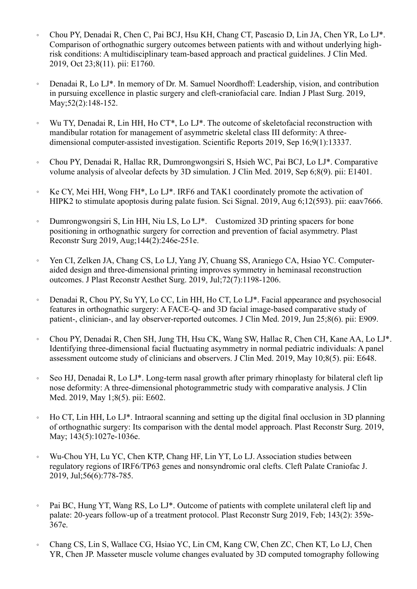- 。 Chou PY, Denadai R, Chen C, Pai BCJ, Hsu KH, Chang CT, Pascasio D, Lin JA, Chen YR, Lo LJ\*. Comparison of orthognathic surgery outcomes between patients with and without underlying highrisk conditions: A multidisciplinary team-based approach and practical guidelines. J Clin Med. 2019, Oct 23;8(11). pii: E1760.
- 。 Denadai R, Lo LJ\*. In memory of Dr. M. Samuel Noordhoff: Leadership, vision, and contribution in pursuing excellence in plastic surgery and cleft-craniofacial care. Indian J Plast Surg. 2019, May; 52(2): 148-152.
- 。 Wu TY, Denadai R, Lin HH, Ho CT\*, Lo LJ\*. The outcome of skeletofacial reconstruction with mandibular rotation for management of asymmetric skeletal class III deformity: A threedimensional computer-assisted investigation. Scientific Reports 2019, Sep 16;9(1):13337.
- 。 Chou PY, Denadai R, Hallac RR, Dumrongwongsiri S, Hsieh WC, Pai BCJ, Lo LJ\*. Comparative volume analysis of alveolar defects by 3D simulation. J Clin Med. 2019, Sep 6;8(9). pii: E1401.
- 。 Ke CY, Mei HH, Wong FH\*, Lo LJ\*. IRF6 and TAK1 coordinately promote the activation of HIPK2 to stimulate apoptosis during palate fusion. Sci Signal. 2019, Aug 6;12(593). pii: eaav7666.
- 。 Dumrongwongsiri S, Lin HH, Niu LS, Lo LJ\*. Customized 3D printing spacers for bone positioning in orthognathic surgery for correction and prevention of facial asymmetry. Plast Reconstr Surg 2019, Aug;144(2):246e-251e.
- 。 Yen CI, Zelken JA, Chang CS, Lo LJ, Yang JY, Chuang SS, Araniego CA, Hsiao YC. Computeraided design and three-dimensional printing improves symmetry in heminasal reconstruction outcomes. J Plast Reconstr Aesthet Surg. 2019, Jul;72(7):1198-1206.
- 。 Denadai R, Chou PY, Su YY, Lo CC, Lin HH, Ho CT, Lo LJ\*. Facial appearance and psychosocial features in orthognathic surgery: A FACE-Q- and 3D facial image-based comparative study of patient-, clinician-, and lay observer-reported outcomes. J Clin Med. 2019, Jun 25;8(6). pii: E909.
- 。 Chou PY, Denadai R, Chen SH, Jung TH, Hsu CK, Wang SW, Hallac R, Chen CH, Kane AA, Lo LJ\*. Identifying three-dimensional facial fluctuating asymmetry in normal pediatric individuals: A panel assessment outcome study of clinicians and observers. J Clin Med. 2019, May 10;8(5). pii: E648.
- 。 Seo HJ, Denadai R, Lo LJ\*. Long-term nasal growth after primary rhinoplasty for bilateral cleft lip nose deformity: A three-dimensional photogrammetric study with comparative analysis. J Clin Med. 2019, May 1;8(5). pii: E602.
- 。 Ho CT, Lin HH, Lo LJ\*. Intraoral scanning and setting up the digital final occlusion in 3D planning of orthognathic surgery: Its comparison with the dental model approach. Plast Reconstr Surg. 2019, May; 143(5):1027e-1036e.
- 。 Wu-Chou YH, Lu YC, Chen KTP, Chang HF, Lin YT, Lo LJ. Association studies between regulatory regions of IRF6/TP63 genes and nonsyndromic oral clefts. Cleft Palate Craniofac J. 2019, Jul;56(6):778-785.
- 。 Pai BC, Hung YT, Wang RS, Lo LJ\*. Outcome of patients with complete unilateral cleft lip and palate: 20-years follow-up of a treatment protocol. Plast Reconstr Surg 2019, Feb; 143(2): 359e-367e.
- 。 Chang CS, Lin S, Wallace CG, Hsiao YC, Lin CM, Kang CW, Chen ZC, Chen KT, Lo LJ, Chen YR, Chen JP. Masseter muscle volume changes evaluated by 3D computed tomography following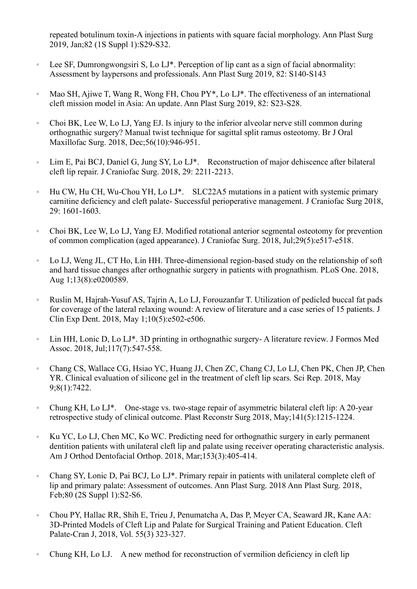repeated botulinum toxin-A injections in patients with square facial morphology. Ann Plast Surg 2019, Jan;82 (1S Suppl 1):S29-S32.

- **EXECUTE:** Lee SF, Dumrongwongsiri S, Lo LJ\*. Perception of lip cant as a sign of facial abnormality: Assessment by laypersons and professionals. Ann Plast Surg 2019, 82: S140-S143
- 。 Mao SH, Ajiwe T, Wang R, Wong FH, Chou PY\*, Lo LJ\*. The effectiveness of an international cleft mission model in Asia: An update. Ann Plast Surg 2019, 82: S23-S28.
- 。 Choi BK, Lee W, Lo LJ, Yang EJ. Is injury to the inferior alveolar nerve still common during orthognathic surgery? Manual twist technique for sagittal split ramus osteotomy. Br J Oral Maxillofac Surg. 2018, Dec;56(10):946-951.
- 。 Lim E, Pai BCJ, Daniel G, Jung SY, Lo LJ\*. Reconstruction of major dehiscence after bilateral cleft lip repair. J Craniofac Surg. 2018, 29: 2211-2213.
- 。 Hu CW, Hu CH, Wu-Chou YH, Lo LJ\*. SLC22A5 mutations in a patient with systemic primary carnitine deficiency and cleft palate- Successful perioperative management. J Craniofac Surg 2018, 29: 1601-1603.
- 。 Choi BK, Lee W, Lo LJ, Yang EJ. Modified rotational anterior segmental osteotomy for prevention of common complication (aged appearance). J Craniofac Surg. 2018, Jul;29(5):e517-e518.
- 。 Lo LJ, Weng JL, CT Ho, Lin HH. Three-dimensional region-based study on the relationship of soft and hard tissue changes after orthognathic surgery in patients with prognathism. PLoS One. 2018, Aug 1;13(8):e0200589.
- 。 Ruslin M, Hajrah-Yusuf AS, Tajrin A, Lo LJ, Forouzanfar T. Utilization of pedicled buccal fat pads for coverage of the lateral relaxing wound: A review of literature and a case series of 15 patients. J Clin Exp Dent. 2018, May 1;10(5):e502-e506.
- 。 Lin HH, Lonic D, Lo LJ\*. 3D printing in orthognathic surgery- A literature review. J Formos Med Assoc. 2018, Jul;117(7):547-558.
- 。 Chang CS, Wallace CG, Hsiao YC, Huang JJ, Chen ZC, Chang CJ, Lo LJ, Chen PK, Chen JP, Chen YR. Clinical evaluation of silicone gel in the treatment of cleft lip scars. Sci Rep. 2018, May 9;8(1):7422.
- 。 Chung KH, Lo LJ\*. One-stage vs. two-stage repair of asymmetric bilateral cleft lip: A 20-year retrospective study of clinical outcome. Plast Reconstr Surg 2018, May;141(5):1215-1224.
- 。 Ku YC, Lo LJ, Chen MC, Ko WC. Predicting need for orthognathic surgery in early permanent dentition patients with unilateral cleft lip and palate using receiver operating characteristic analysis. Am J Orthod Dentofacial Orthop. 2018, Mar;153(3):405-414.
- 。 Chang SY, Lonic D, Pai BCJ, Lo LJ\*. Primary repair in patients with unilateral complete cleft of lip and primary palate: Assessment of outcomes. Ann Plast Surg. 2018 Ann Plast Surg. 2018, Feb;80 (2S Suppl 1):S2-S6.
- 。 Chou PY, Hallac RR, Shih E, Trieu J, Penumatcha A, Das P, Meyer CA, Seaward JR, Kane AA: 3D-Printed Models of Cleft Lip and Palate for Surgical Training and Patient Education. Cleft Palate-Cran J, 2018, Vol. 55(3) 323-327.
- 。 Chung KH, Lo LJ. A new method for reconstruction of vermilion deficiency in cleft lip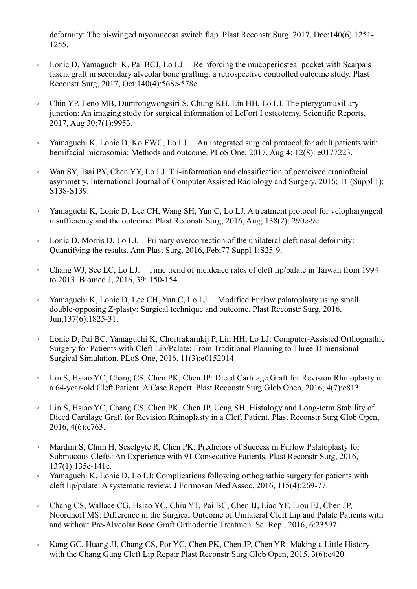deformity: The bi-winged myomucosa switch flap. Plast Reconstr Surg, 2017, Dec;140(6):1251- 1255.

- 。 Lonic D, Yamaguchi K, Pai BCJ, Lo LJ. Reinforcing the mucoperiosteal pocket with Scarpa's fascia graft in secondary alveolar bone grafting: a retrospective controlled outcome study. Plast Reconstr Surg, 2017, Oct;140(4):568e-578e.
- 。 Chin YP, Leno MB, Dumrongwongsiri S, Chung KH, Lin HH, Lo LJ. The pterygomaxillary junction: An imaging study for surgical information of LeFort I osteotomy. Scientific Reports, 2017, Aug 30;7(1):9953.
- 。 Yamaguchi K, Lonic D, Ko EWC, Lo LJ. An integrated surgical protocol for adult patients with hemifacial microsomia: Methods and outcome. PLoS One, 2017, Aug 4; 12(8): e0177223.
- 。 Wan SY, Tsai PY, Chen YY, Lo LJ. Tri-information and classification of perceived craniofacial asymmetry. International Journal of Computer Assisted Radiology and Surgery. 2016; 11 (Suppl 1): S138-S139.
- 。 Yamaguchi K, Lonic D, Lee CH, Wang SH, Yun C, Lo LJ. A treatment protocol for velopharyngeal insufficiency and the outcome. Plast Reconstr Surg, 2016, Aug; 138(2): 290e-9e.
- 。 Lonic D, Morris D, Lo LJ. Primary overcorrection of the unilateral cleft nasal deformity: Quantifying the results. Ann Plast Surg, 2016, Feb;77 Suppl 1:S25-9.
- 。 Chang WJ, See LC, Lo LJ. Time trend of incidence rates of cleft lip/palate in Taiwan from 1994 to 2013. Biomed J, 2016, 39: 150-154.
- 。 Yamaguchi K, Lonic D, Lee CH, Yun C, Lo LJ. Modified Furlow palatoplasty using small double-opposing Z-plasty: Surgical technique and outcome. Plast Reconstr Surg, 2016, Jun;137(6):1825-31.
- 。 Lonic D, Pai BC, Yamaguchi K, Chortrakarnkij P, Lin HH, Lo LJ: Computer-Assisted Orthognathic Surgery for Patients with Cleft Lip/Palate: From Traditional Planning to Three-Dimensional Surgical Simulation. PLoS One, 2016, 11(3):e0152014.
- 。 Lin S, Hsiao YC, Chang CS, Chen PK, Chen JP: Diced Cartilage Graft for Revision Rhinoplasty in a 64-year-old Cleft Patient: A Case Report. Plast Reconstr Surg Glob Open, 2016, 4(7):e813.
- 。 Lin S, Hsiao YC, Chang CS, Chen PK, Chen JP, Ueng SH: Histology and Long-term Stability of Diced Cartilage Graft for Revision Rhinoplasty in a Cleft Patient. Plast Reconstr Surg Glob Open, 2016, 4(6):e763.
- 。 Mardini S, Chim H, Seselgyte R, Chen PK: Predictors of Success in Furlow Palatoplasty for Submucous Clefts: An Experience with 91 Consecutive Patients. Plast Reconstr Surg, 2016, 137(1):135e-141e.
- 。 Yamaguchi K, Lonic D, Lo LJ: Complications following orthognathic surgery for patients with cleft lip/palate: A systematic review. J Formosan Med Assoc, 2016, 115(4):269-77.
- 。 Chang CS, Wallace CG, Hsiao YC, Chiu YT, Pai BC, Chen IJ, Liao YF, Liou EJ, Chen JP, Noordhoff MS: Difference in the Surgical Outcome of Unilateral Cleft Lip and Palate Patients with and without Pre-Alveolar Bone Graft Orthodontic Treatmen. Sci Rep., 2016, 6:23597.
- 。 Kang GC, Huang JJ, Chang CS, Por YC, Chen PK, Chen JP, Chen YR: Making a Little History with the Chang Gung Cleft Lip Repair Plast Reconstr Surg Glob Open, 2015, 3(6):e420.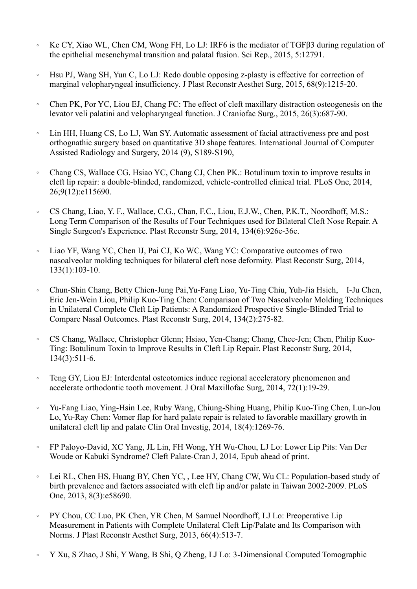- 。 Ke CY, Xiao WL, Chen CM, Wong FH, Lo LJ: IRF6 is the mediator of TGFβ3 during regulation of the epithelial mesenchymal transition and palatal fusion. Sci Rep., 2015, 5:12791.
- 。 Hsu PJ, Wang SH, Yun C, Lo LJ: Redo double opposing z-plasty is effective for correction of marginal velopharyngeal insufficiency. J Plast Reconstr Aesthet Surg, 2015, 68(9):1215-20.
- Chen PK, Por YC, Liou EJ, Chang FC: The effect of cleft maxillary distraction osteogenesis on the levator veli palatini and velopharyngeal function. J Craniofac Surg., 2015, 26(3):687-90.
- Lin HH, Huang CS, Lo LJ, Wan SY. Automatic assessment of facial attractiveness pre and post orthognathic surgery based on quantitative 3D shape features. International Journal of Computer Assisted Radiology and Surgery, 2014 (9), S189-S190,
- 。 Chang CS, Wallace CG, Hsiao YC, Chang CJ, Chen PK.: Botulinum toxin to improve results in cleft lip repair: a double-blinded, randomized, vehicle-controlled clinical trial. PLoS One, 2014, 26;9(12):e115690.
- CS Chang, Liao, Y. F., Wallace, C.G., Chan, F.C., Liou, E.J.W., Chen, P.K.T., Noordhoff, M.S.: Long Term Comparison of the Results of Four Techniques used for Bilateral Cleft Nose Repair. A Single Surgeon's Experience. Plast Reconstr Surg, 2014, 134(6):926e-36e.
- 。 Liao YF, Wang YC, Chen IJ, Pai CJ, Ko WC, Wang YC: Comparative outcomes of two nasoalveolar molding techniques for bilateral cleft nose deformity. Plast Reconstr Surg, 2014, 133(1):103-10.
- 。 Chun-Shin Chang, Betty Chien-Jung Pai,Yu-Fang Liao, Yu-Ting Chiu, Yuh-Jia Hsieh, I-Ju Chen, Eric Jen-Wein Liou, Philip Kuo-Ting Chen: Comparison of Two Nasoalveolar Molding Techniques in Unilateral Complete Cleft Lip Patients: A Randomized Prospective Single-Blinded Trial to Compare Nasal Outcomes. Plast Reconstr Surg, 2014, 134(2):275-82.
- 。 CS Chang, Wallace, Christopher Glenn; Hsiao, Yen-Chang; Chang, Chee-Jen; Chen, Philip Kuo-Ting: Botulinum Toxin to Improve Results in Cleft Lip Repair. Plast Reconstr Surg, 2014, 134(3):511-6.
- 。 Teng GY, Liou EJ: Interdental osteotomies induce regional acceleratory phenomenon and accelerate orthodontic tooth movement. J Oral Maxillofac Surg, 2014, 72(1):19-29.
- 。 Yu-Fang Liao, Ying-Hsin Lee, Ruby Wang, Chiung-Shing Huang, Philip Kuo-Ting Chen, Lun-Jou Lo, Yu-Ray Chen: Vomer flap for hard palate repair is related to favorable maxillary growth in unilateral cleft lip and palate Clin Oral Investig, 2014, 18(4):1269-76.
- 。 FP Paloyo-David, XC Yang, JL Lin, FH Wong, YH Wu-Chou, LJ Lo: Lower Lip Pits: Van Der Woude or Kabuki Syndrome? Cleft Palate-Cran J, 2014, Epub ahead of print.
- 。 Lei RL, Chen HS, Huang BY, Chen YC, , Lee HY, Chang CW, Wu CL: Population-based study of birth prevalence and factors associated with cleft lip and/or palate in Taiwan 2002-2009. PLoS One, 2013, 8(3):e58690.
- 。 PY Chou, CC Luo, PK Chen, YR Chen, M Samuel Noordhoff, LJ Lo: Preoperative Lip Measurement in Patients with Complete Unilateral Cleft Lip/Palate and Its Comparison with Norms. J Plast Reconstr Aesthet Surg, 2013, 66(4):513-7.
- 。 Y Xu, S Zhao, J Shi, Y Wang, B Shi, Q Zheng, LJ Lo: 3-Dimensional Computed Tomographic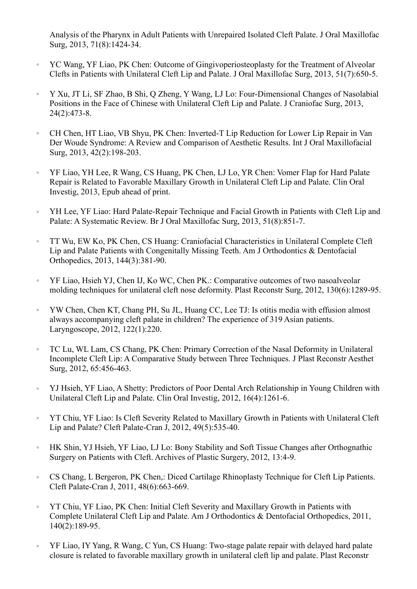Analysis of the Pharynx in Adult Patients with Unrepaired Isolated Cleft Palate. J Oral Maxillofac Surg, 2013, 71(8):1424-34.

- 。 YC Wang, YF Liao, PK Chen: Outcome of Gingivoperiosteoplasty for the Treatment of Alveolar Clefts in Patients with Unilateral Cleft Lip and Palate. J Oral Maxillofac Surg, 2013, 51(7):650-5.
- 。 Y Xu, JT Li, SF Zhao, B Shi, Q Zheng, Y Wang, LJ Lo: Four-Dimensional Changes of Nasolabial Positions in the Face of Chinese with Unilateral Cleft Lip and Palate. J Craniofac Surg, 2013, 24(2):473-8.
- 。 CH Chen, HT Liao, VB Shyu, PK Chen: Inverted-T Lip Reduction for Lower Lip Repair in Van Der Woude Syndrome: A Review and Comparison of Aesthetic Results. Int J Oral Maxillofacial Surg, 2013, 42(2):198-203.
- 。 YF Liao, YH Lee, R Wang, CS Huang, PK Chen, LJ Lo, YR Chen: Vomer Flap for Hard Palate Repair is Related to Favorable Maxillary Growth in Unilateral Cleft Lip and Palate. Clin Oral Investig, 2013, Epub ahead of print.
- 。 YH Lee, YF Liao: Hard Palate-Repair Technique and Facial Growth in Patients with Cleft Lip and Palate: A Systematic Review. Br J Oral Maxillofac Surg, 2013, 51(8):851-7.
- 。 TT Wu, EW Ko, PK Chen, CS Huang: Craniofacial Characteristics in Unilateral Complete Cleft Lip and Palate Patients with Congenitally Missing Teeth. Am J Orthodontics & Dentofacial Orthopedics, 2013, 144(3):381-90.
- 。 YF Liao, Hsieh YJ, Chen IJ, Ko WC, Chen PK.: Comparative outcomes of two nasoalveolar molding techniques for unilateral cleft nose deformity. Plast Reconstr Surg, 2012, 130(6):1289-95.
- 。 YW Chen, Chen KT, Chang PH, Su JL, Huang CC, Lee TJ: Is otitis media with effusion almost always accompanying cleft palate in children? The experience of 319 Asian patients. Laryngoscope, 2012, 122(1):220.
- 。 TC Lu, WL Lam, CS Chang, PK Chen: Primary Correction of the Nasal Deformity in Unilateral Incomplete Cleft Lip: A Comparative Study between Three Techniques. J Plast Reconstr Aesthet Surg, 2012, 65:456-463.
- 。 YJ Hsieh, YF Liao, A Shetty: Predictors of Poor Dental Arch Relationship in Young Children with Unilateral Cleft Lip and Palate. Clin Oral Investig, 2012, 16(4):1261-6.
- 。 YT Chiu, YF Liao: Is Cleft Severity Related to Maxillary Growth in Patients with Unilateral Cleft Lip and Palate? Cleft Palate-Cran J, 2012, 49(5):535-40.
- 。 HK Shin, YJ Hsieh, YF Liao, LJ Lo: Bony Stability and Soft Tissue Changes after Orthognathic Surgery on Patients with Cleft. Archives of Plastic Surgery, 2012, 13:4-9.
- 。 CS Chang, L Bergeron, PK Chen,: Diced Cartilage Rhinoplasty Technique for Cleft Lip Patients. Cleft Palate-Cran J, 2011, 48(6):663-669.
- 。 YT Chiu, YF Liao, PK Chen: Initial Cleft Severity and Maxillary Growth in Patients with Complete Unilateral Cleft Lip and Palate. Am J Orthodontics & Dentofacial Orthopedics, 2011, 140(2):189-95.
- 。 YF Liao, IY Yang, R Wang, C Yun, CS Huang: Two-stage palate repair with delayed hard palate closure is related to favorable maxillary growth in unilateral cleft lip and palate. Plast Reconstr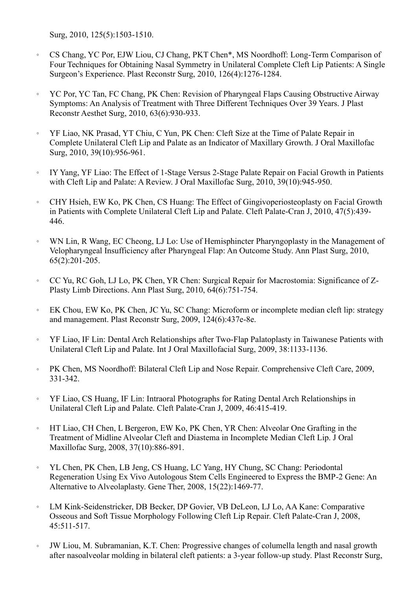Surg, 2010, 125(5):1503-1510.

- CS Chang, YC Por, EJW Liou, CJ Chang, PKT Chen\*, MS Noordhoff: Long-Term Comparison of Four Techniques for Obtaining Nasal Symmetry in Unilateral Complete Cleft Lip Patients: A Single Surgeon's Experience. Plast Reconstr Surg, 2010, 126(4):1276-1284.
- 。 YC Por, YC Tan, FC Chang, PK Chen: Revision of Pharyngeal Flaps Causing Obstructive Airway Symptoms: An Analysis of Treatment with Three Different Techniques Over 39 Years. J Plast Reconstr Aesthet Surg, 2010, 63(6):930-933.
- YF Liao, NK Prasad, YT Chiu, C Yun, PK Chen: Cleft Size at the Time of Palate Repair in Complete Unilateral Cleft Lip and Palate as an Indicator of Maxillary Growth. J Oral Maxillofac Surg, 2010, 39(10):956-961.
- 。 IY Yang, YF Liao: The Effect of 1-Stage Versus 2-Stage Palate Repair on Facial Growth in Patients with Cleft Lip and Palate: A Review. J Oral Maxillofac Surg, 2010, 39(10):945-950.
- 。 CHY Hsieh, EW Ko, PK Chen, CS Huang: The Effect of Gingivoperiosteoplasty on Facial Growth in Patients with Complete Unilateral Cleft Lip and Palate. Cleft Palate-Cran J, 2010, 47(5):439- 446.
- WN Lin, R Wang, EC Cheong, LJ Lo: Use of Hemisphincter Pharyngoplasty in the Management of Velopharyngeal Insufficiency after Pharyngeal Flap: An Outcome Study. Ann Plast Surg, 2010, 65(2):201-205.
- 。 CC Yu, RC Goh, LJ Lo, PK Chen, YR Chen: Surgical Repair for Macrostomia: Significance of Z-Plasty Limb Directions. Ann Plast Surg, 2010, 64(6):751-754.
- 。 EK Chou, EW Ko, PK Chen, JC Yu, SC Chang: Microform or incomplete median cleft lip: strategy and management. Plast Reconstr Surg, 2009, 124(6):437e-8e.
- YF Liao, IF Lin: Dental Arch Relationships after Two-Flap Palatoplasty in Taiwanese Patients with Unilateral Cleft Lip and Palate. Int J Oral Maxillofacial Surg, 2009, 38:1133-1136.
- 。 PK Chen, MS Noordhoff: Bilateral Cleft Lip and Nose Repair. Comprehensive Cleft Care, 2009, 331-342.
- 。 YF Liao, CS Huang, IF Lin: Intraoral Photographs for Rating Dental Arch Relationships in Unilateral Cleft Lip and Palate. Cleft Palate-Cran J, 2009, 46:415-419.
- 。 HT Liao, CH Chen, L Bergeron, EW Ko, PK Chen, YR Chen: Alveolar One Grafting in the Treatment of Midline Alveolar Cleft and Diastema in Incomplete Median Cleft Lip. J Oral Maxillofac Surg, 2008, 37(10):886-891.
- 。 YL Chen, PK Chen, LB Jeng, CS Huang, LC Yang, HY Chung, SC Chang: Periodontal Regeneration Using Ex Vivo Autologous Stem Cells Engineered to Express the BMP-2 Gene: An Alternative to Alveolaplasty. Gene Ther, 2008, 15(22):1469-77.
- LM Kink-Seidenstricker, DB Becker, DP Govier, VB DeLeon, LJ Lo, AA Kane: Comparative Osseous and Soft Tissue Morphology Following Cleft Lip Repair. Cleft Palate-Cran J, 2008, 45:511-517.
- 。 JW Liou, M. Subramanian, K.T. Chen: Progressive changes of columella length and nasal growth after nasoalveolar molding in bilateral cleft patients: a 3-year follow-up study. Plast Reconstr Surg,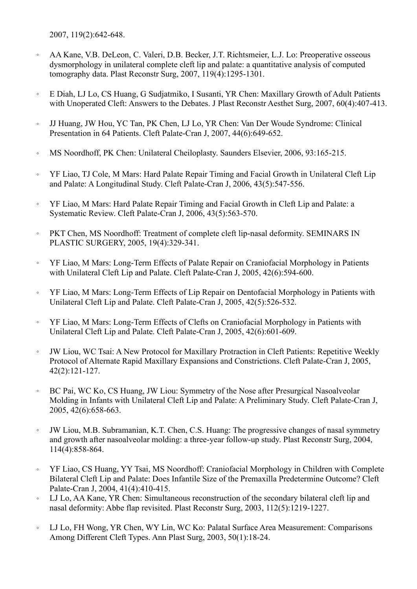2007, 119(2):642-648.

- 。 AA Kane, V.B. DeLeon, C. Valeri, D.B. Becker, J.T. Richtsmeier, L.J. Lo: Preoperative osseous dysmorphology in unilateral complete cleft lip and palate: a quantitative analysis of computed tomography data. Plast Reconstr Surg, 2007, 119(4):1295-1301.
- 。 E Diah, LJ Lo, CS Huang, G Sudjatmiko, I Susanti, YR Chen: Maxillary Growth of Adult Patients with Unoperated Cleft: Answers to the Debates. J Plast Reconstr Aesthet Surg, 2007, 60(4):407-413.
- 。 JJ Huang, JW Hou, YC Tan, PK Chen, LJ Lo, YR Chen: Van Der Woude Syndrome: Clinical Presentation in 64 Patients. Cleft Palate-Cran J, 2007, 44(6):649-652.
- 。 MS Noordhoff, PK Chen: Unilateral Cheiloplasty. Saunders Elsevier, 2006, 93:165-215.
- 。 YF Liao, TJ Cole, M Mars: Hard Palate Repair Timing and Facial Growth in Unilateral Cleft Lip and Palate: A Longitudinal Study. Cleft Palate-Cran J, 2006, 43(5):547-556.
- YF Liao, M Mars: Hard Palate Repair Timing and Facial Growth in Cleft Lip and Palate: a Systematic Review. Cleft Palate-Cran J, 2006, 43(5):563-570.
- 。 PKT Chen, MS Noordhoff: Treatment of complete cleft lip-nasal deformity. SEMINARS IN PLASTIC SURGERY, 2005, 19(4):329-341.
- 。 YF Liao, M Mars: Long-Term Effects of Palate Repair on Craniofacial Morphology in Patients with Unilateral Cleft Lip and Palate. Cleft Palate-Cran J, 2005, 42(6):594-600.
- YF Liao, M Mars: Long-Term Effects of Lip Repair on Dentofacial Morphology in Patients with Unilateral Cleft Lip and Palate. Cleft Palate-Cran J, 2005, 42(5):526-532.
- 。 YF Liao, M Mars: Long-Term Effects of Clefts on Craniofacial Morphology in Patients with Unilateral Cleft Lip and Palate. Cleft Palate-Cran J, 2005, 42(6):601-609.
- 。 JW Liou, WC Tsai: A New Protocol for Maxillary Protraction in Cleft Patients: Repetitive Weekly Protocol of Alternate Rapid Maxillary Expansions and Constrictions. Cleft Palate-Cran J, 2005, 42(2):121-127.
- 。 BC Pai, WC Ko, CS Huang, JW Liou: Symmetry of the Nose after Presurgical Nasoalveolar Molding in Infants with Unilateral Cleft Lip and Palate: A Preliminary Study. Cleft Palate-Cran J, 2005, 42(6):658-663.
- JW Liou, M.B. Subramanian, K.T. Chen, C.S. Huang: The progressive changes of nasal symmetry and growth after nasoalveolar molding: a three-year follow-up study. Plast Reconstr Surg, 2004, 114(4):858-864.
- 。 YF Liao, CS Huang, YY Tsai, MS Noordhoff: Craniofacial Morphology in Children with Complete Bilateral Cleft Lip and Palate: Does Infantile Size of the Premaxilla Predetermine Outcome? Cleft Palate-Cran J, 2004, 41(4):410-415.
- 。 LJ Lo, AA Kane, YR Chen: Simultaneous reconstruction of the secondary bilateral cleft lip and nasal deformity: Abbe flap revisited. Plast Reconstr Surg, 2003, 112(5):1219-1227.
- 。 LJ Lo, FH Wong, YR Chen, WY Lin, WC Ko: Palatal Surface Area Measurement: Comparisons Among Different Cleft Types. Ann Plast Surg, 2003, 50(1):18-24.